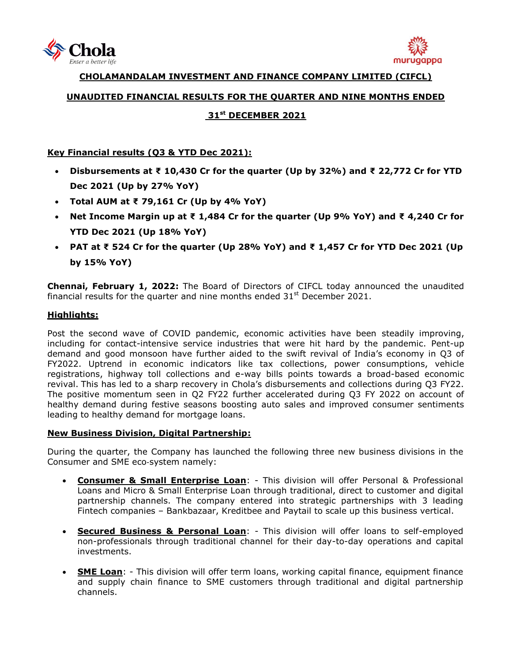



**CHOLAMANDALAM INVESTMENT AND FINANCE COMPANY LIMITED (CIFCL)**

# **UNAUDITED FINANCIAL RESULTS FOR THE QUARTER AND NINE MONTHS ENDED**

# **31 st DECEMBER 2021**

## **Key Financial results (Q3 & YTD Dec 2021):**

- **Disbursements at ₹ 10,430 Cr for the quarter (Up by 32%) and ₹ 22,772 Cr for YTD Dec 2021 (Up by 27% YoY)**
- **Total AUM at ₹ 79,161 Cr (Up by 4% YoY)**
- **Net Income Margin up at ₹ 1,484 Cr for the quarter (Up 9% YoY) and ₹ 4,240 Cr for YTD Dec 2021 (Up 18% YoY)**
- **PAT at ₹ 524 Cr for the quarter (Up 28% YoY) and ₹ 1,457 Cr for YTD Dec 2021 (Up by 15% YoY)**

**Chennai, February 1, 2022:** The Board of Directors of [CIFCL](http://www.cholamandalam.com/) today announced the unaudited financial results for the quarter and nine months ended  $31<sup>st</sup>$  December 2021.

# **Highlights:**

Post the second wave of COVID pandemic, economic activities have been steadily improving, including for contact-intensive service industries that were hit hard by the pandemic. Pent-up demand and good monsoon have further aided to the swift revival of India's economy in Q3 of FY2022. Uptrend in economic indicators like tax collections, power consumptions, vehicle registrations, highway toll collections and e-way bills points towards a broad-based economic revival. This has led to a sharp recovery in Chola's disbursements and collections during Q3 FY22. The positive momentum seen in Q2 FY22 further accelerated during Q3 FY 2022 on account of healthy demand during festive seasons boosting auto sales and improved consumer sentiments leading to healthy demand for mortgage loans.

### **New Business Division, Digital Partnership:**

During the quarter, the Company has launched the following three new business divisions in the Consumer and SME eco‐system namely:

- **Consumer & Small Enterprise Loan**: This division will offer Personal & Professional Loans and Micro & Small Enterprise Loan through traditional, direct to customer and digital partnership channels. The company entered into strategic partnerships with 3 leading Fintech companies – Bankbazaar, Kreditbee and Paytail to scale up this business vertical.
- **Secured Business & Personal Loan**: This division will offer loans to self-employed non-professionals through traditional channel for their day-to-day operations and capital investments.
- **SME Loan**: This division will offer term loans, working capital finance, equipment finance and supply chain finance to SME customers through traditional and digital partnership channels.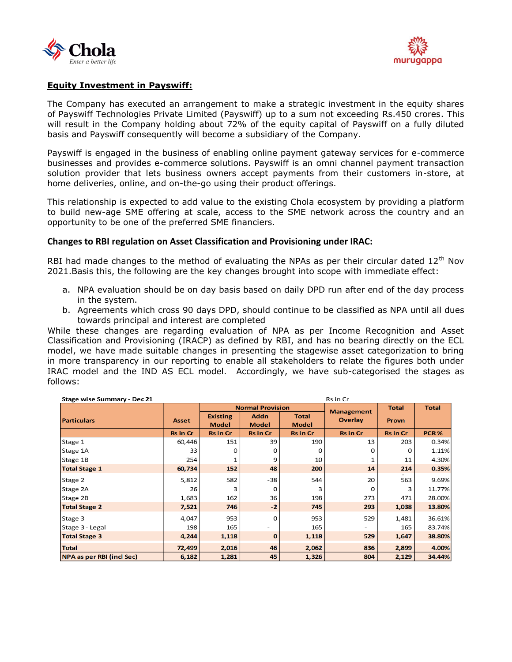



# **Equity Investment in Payswiff:**

The Company has executed an arrangement to make a strategic investment in the equity shares of Payswiff Technologies Private Limited (Payswiff) up to a sum not exceeding Rs.450 crores. This will result in the Company holding about 72% of the equity capital of Payswiff on a fully diluted basis and Payswiff consequently will become a subsidiary of the Company.

Payswiff is engaged in the business of enabling online payment gateway services for e-commerce businesses and provides e-commerce solutions. Payswiff is an omni channel payment transaction solution provider that lets business owners accept payments from their customers in-store, at home deliveries, online, and on-the-go using their product offerings.

This relationship is expected to add value to the existing Chola ecosystem by providing a platform to build new-age SME offering at scale, access to the SME network across the country and an opportunity to be one of the preferred SME financiers.

### **Changes to RBI regulation on Asset Classification and Provisioning under IRAC:**

RBI had made changes to the method of evaluating the NPAs as per their circular dated  $12<sup>th</sup>$  Nov 2021.Basis this, the following are the key changes brought into scope with immediate effect:

- a. NPA evaluation should be on day basis based on daily DPD run after end of the day process in the system.
- b. Agreements which cross 90 days DPD, should continue to be classified as NPA until all dues towards principal and interest are completed

While these changes are regarding evaluation of NPA as per Income Recognition and Asset Classification and Provisioning (IRACP) as defined by RBI, and has no bearing directly on the ECL model, we have made suitable changes in presenting the stagewise asset categorization to bring in more transparency in our reporting to enable all stakeholders to relate the figures both under IRAC model and the IND AS ECL model. Accordingly, we have sub-categorised the stages as follows:

| Rs in Cr<br>Stage wise Summary - Dec 21 |                 |                                 |                             |                              |                          |                 |              |
|-----------------------------------------|-----------------|---------------------------------|-----------------------------|------------------------------|--------------------------|-----------------|--------------|
|                                         |                 |                                 | <b>Normal Provision</b>     |                              | <b>Management</b>        | <b>Total</b>    | <b>Total</b> |
| <b>Particulars</b>                      | <b>Asset</b>    | <b>Existing</b><br><b>Model</b> | <b>Addn</b><br><b>Model</b> | <b>Total</b><br><b>Model</b> | <b>Overlay</b>           | <b>Provn</b>    |              |
|                                         | <b>Rs in Cr</b> | <b>Rs in Cr</b>                 | <b>Rs in Cr</b>             | <b>Rs in Cr</b>              | <b>Rs in Cr</b>          | <b>Rs in Cr</b> | PCR%         |
| Stage 1                                 | 60,446          | 151                             | 39                          | 190                          | 13                       | 203             | 0.34%        |
| Stage 1A                                | 33              | O                               | O                           | O                            | 0                        | O               | 1.11%        |
| Stage 1B                                | 254             |                                 | 9                           | 10                           | 1                        | 11              | 4.30%        |
| <b>Total Stage 1</b>                    | 60,734          | 152                             | 48                          | 200                          | 14                       | 214             | 0.35%        |
| Stage 2                                 | 5,812           | 582                             | $-38$                       | 544                          | 20                       | 563             | 9.69%        |
| Stage 2A                                | 26              | 3                               | 0                           |                              | 0                        | 3               | 11.77%       |
| Stage 2B                                | 1,683           | 162                             | 36                          | 198                          | 273                      | 471             | 28.00%       |
| <b>Total Stage 2</b>                    | 7,521           | 746                             | $-2$                        | 745                          | 293                      | 1,038           | 13.80%       |
| Stage 3                                 | 4,047           | 953                             | $\Omega$                    | 953                          | 529                      | 1,481           | 36.61%       |
| Stage 3 - Legal                         | 198             | 165                             |                             | 165                          | $\overline{\phantom{0}}$ | 165             | 83.74%       |
| <b>Total Stage 3</b>                    | 4,244           | 1,118                           | $\mathbf{0}$                | 1,118                        | 529                      | 1,647           | 38.80%       |
| <b>Total</b>                            | 72,499          | 2,016                           | 46                          | 2,062                        | 836                      | 2,899           | 4.00%        |
| <b>NPA as per RBI (incl Sec)</b>        | 6,182           | 1,281                           | 45                          | 1,326                        | 804                      | 2,129           | 34.44%       |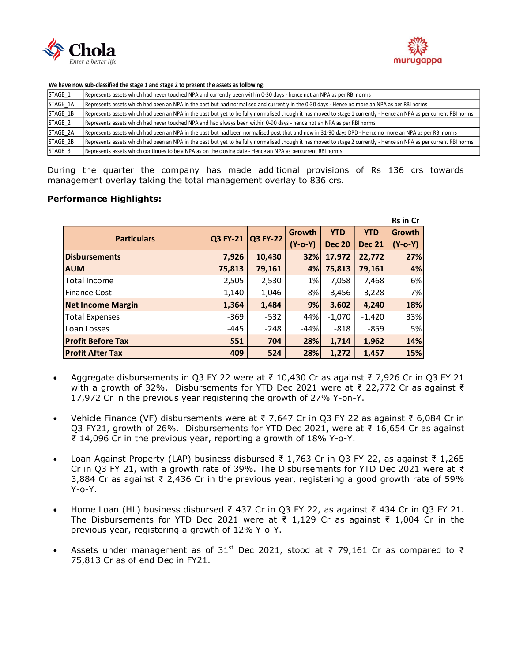



#### **We have now sub-classified the stage 1 and stage 2 to present the assets as following:**

| STAGE <sub>1</sub> | Represents assets which had never touched NPA and currently been within 0-30 days - hence not an NPA as per RBI norms                                               |
|--------------------|---------------------------------------------------------------------------------------------------------------------------------------------------------------------|
| STAGE_1A           | Represents assets which had been an NPA in the past but had normalised and currently in the 0-30 days - Hence no more an NPA as per RBI norms                       |
| STAGE_1B           | Represents assets which had been an NPA in the past but yet to be fully normalised though it has moved to stage 1 currently - Hence an NPA as per current RBI norms |
| STAGE <sub>2</sub> | Represents assets which had never touched NPA and had always been within 0-90 days - hence not an NPA as per RBI norms                                              |
| STAGE 2A           | Represents assets which had been an NPA in the past but had been normalised post that and now in 31-90 days DPD - Hence no more an NPA as per RBI norms             |
| STAGE 2B           | Represents assets which had been an NPA in the past but yet to be fully normalised though it has moved to stage 2 currently - Hence an NPA as per current RBI norms |
| STAGE <sub>3</sub> | Represents assets which continues to be a NPA as on the closing date - Hence an NPA as percurrent RBI norms                                                         |

During the quarter the company has made additional provisions of Rs 136 crs towards management overlay taking the total management overlay to 836 crs.

### **Performance Highlights:**

|                          |          |                 |           |               |               | <b>Rs in Cr</b> |
|--------------------------|----------|-----------------|-----------|---------------|---------------|-----------------|
| <b>Particulars</b>       | Q3 FY-21 | <b>Q3 FY-22</b> | Growth    | <b>YTD</b>    | <b>YTD</b>    | Growth          |
|                          |          |                 | $(Y-o-Y)$ | <b>Dec 20</b> | <b>Dec 21</b> | $(Y-o-Y)$       |
| <b>Disbursements</b>     | 7,926    | 10,430          | 32%       | 17,972        | 22,772        | 27%             |
| <b>AUM</b>               | 75,813   | 79,161          | 4%        | 75,813        | 79,161        | 4%              |
| Total Income             | 2,505    | 2,530           | $1\%$     | 7,058         | 7,468         | 6%              |
| Finance Cost             | $-1,140$ | $-1,046$        | $-8%$     | $-3,456$      | $-3,228$      | $-7%$           |
| <b>Net Income Margin</b> | 1,364    | 1,484           | 9%        | 3,602         | 4,240         | 18%             |
| <b>Total Expenses</b>    | $-369$   | $-532$          | 44%       | $-1,070$      | $-1,420$      | 33%             |
| Loan Losses              | $-445$   | $-248$          | $-44%$    | $-818$        | $-859$        | 5%              |
| <b>Profit Before Tax</b> | 551      | 704             | 28%       | 1,714         | 1,962         | 14%             |
| <b>Profit After Tax</b>  | 409      | 524             | 28%       | 1,272         | 1,457         | 15%             |

- Aggregate disbursements in Q3 FY 22 were at  $\overline{z}$  10,430 Cr as against  $\overline{z}$  7,926 Cr in Q3 FY 21 with a growth of 32%. Disbursements for YTD Dec 2021 were at ₹ 22,772 Cr as against ₹ 17,972 Cr in the previous year registering the growth of 27% Y-on-Y.
- Vehicle Finance (VF) disbursements were at ₹ 7,647 Cr in Q3 FY 22 as against ₹ 6,084 Cr in O3 FY21, growth of 26%. Disbursements for YTD Dec 2021, were at ₹ 16,654 Cr as against ₹ 14,096 Cr in the previous year, reporting a growth of 18% Y-o-Y.
- Loan Against Property (LAP) business disbursed ₹ 1,763 Cr in Q3 FY 22, as against ₹ 1,265 Cr in Q3 FY 21, with a growth rate of 39%. The Disbursements for YTD Dec 2021 were at ₹ 3,884 Cr as against ₹ 2,436 Cr in the previous year, registering a good growth rate of 59%  $Y$ - $O - Y$ .
- Home Loan (HL) business disbursed ₹ 437 Cr in Q3 FY 22, as against ₹ 434 Cr in Q3 FY 21. The Disbursements for YTD Dec 2021 were at ₹ 1,129 Cr as against ₹ 1,004 Cr in the previous year, registering a growth of 12% Y-o-Y.
- Assets under management as of 31<sup>st</sup> Dec 2021, stood at ₹ 79,161 Cr as compared to ₹ 75,813 Cr as of end Dec in FY21.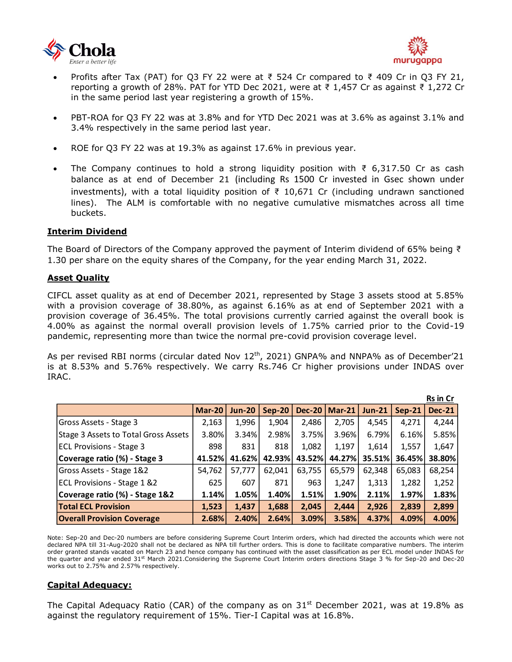



- Profits after Tax (PAT) for Q3 FY 22 were at ₹ 524 Cr compared to ₹ 409 Cr in Q3 FY 21, reporting a growth of 28%. PAT for YTD Dec 2021, were at ₹ 1,457 Cr as against ₹ 1,272 Cr in the same period last year registering a growth of 15%.
- PBT-ROA for Q3 FY 22 was at 3.8% and for YTD Dec 2021 was at 3.6% as against 3.1% and 3.4% respectively in the same period last year.
- ROE for Q3 FY 22 was at 19.3% as against 17.6% in previous year.
- The Company continues to hold a strong liquidity position with ₹ 6,317.50 Cr as cash balance as at end of December 21 (including Rs 1500 Cr invested in Gsec shown under investments), with a total liquidity position of ₹ 10,671 Cr (including undrawn sanctioned lines). The ALM is comfortable with no negative cumulative mismatches across all time buckets.

### **Interim Dividend**

The Board of Directors of the Company approved the payment of Interim dividend of 65% being ₹ 1.30 per share on the equity shares of the Company, for the year ending March 31, 2022.

### **Asset Quality**

CIFCL asset quality as at end of December 2021, represented by Stage 3 assets stood at 5.85% with a provision coverage of 38.80%, as against 6.16% as at end of September 2021 with a provision coverage of 36.45%. The total provisions currently carried against the overall book is 4.00% as against the normal overall provision levels of 1.75% carried prior to the Covid-19 pandemic, representing more than twice the normal pre-covid provision coverage level.

As per revised RBI norms (circular dated Nov  $12^{th}$ , 2021) GNPA% and NNPA% as of December'21 is at 8.53% and 5.76% respectively. We carry Rs.746 Cr higher provisions under INDAS over IRAC.

|                                      |               |               |               |               |               |          |          | Rs in Cr      |
|--------------------------------------|---------------|---------------|---------------|---------------|---------------|----------|----------|---------------|
|                                      | <b>Mar-20</b> | <b>Jun-20</b> | <b>Sep-20</b> | <b>Dec-20</b> | <b>Mar-21</b> | $Jun-21$ | $Sep-21$ | <b>Dec-21</b> |
| Gross Assets - Stage 3               | 2,163         | 1,996         | 1,904         | 2,486         | 2,705         | 4.545    | 4.271    | 4,244         |
| Stage 3 Assets to Total Gross Assets | 3.80%         | 3.34%         | 2.98%         | 3.75%         | 3.96%         | 6.79%    | 6.16%    | 5.85%         |
| <b>ECL Provisions - Stage 3</b>      | 898           | 831           | 818           | 1,082         | 1,197         | 1,614    | 1,557    | 1,647         |
| Coverage ratio (%) - Stage 3         | 41.52%        | 41.62%        | 42.93%        | 43.52%        | 44.27%        | 35.51%   | 36.45%   | 38.80%        |
| Gross Assets - Stage 1&2             | 54.762        | 57.777        | 62,041        | 63,755        | 65,579        | 62.348   | 65.083   | 68,254        |
| ECL Provisions - Stage 1 &2          | 625           | 607           | 871           | 963           | 1,247         | 1,313    | 1,282    | 1,252         |
| Coverage ratio (%) - Stage 1&2       | 1.14%         | 1.05%         | 1.40%         | 1.51%         | 1.90%         | 2.11%    | 1.97%    | 1.83%         |
| <b>Total ECL Provision</b>           | 1,523         | 1.437         | 1,688         | 2,045         | 2.444         | 2,926    | 2,839    | 2,899         |
| <b>Overall Provision Coverage</b>    | 2.68%         | 2.40%         | 2.64%         | 3.09%         | 3.58%         | 4.37%    | 4.09%    | 4.00%         |

Note: Sep-20 and Dec-20 numbers are before considering Supreme Court Interim orders, which had directed the accounts which were not declared NPA till 31-Aug-2020 shall not be declared as NPA till further orders. This is done to facilitate comparative numbers. The interim order granted stands vacated on March 23 and hence company has continued with the asset classification as per ECL model under INDAS for the quarter and year ended 31<sup>st</sup> March 2021.Considering the Supreme Court Interim orders directions Stage 3 % for Sep-20 and Dec-20 works out to 2.75% and 2.57% respectively.

### **Capital Adequacy:**

The Capital Adequacy Ratio (CAR) of the company as on  $31<sup>st</sup>$  December 2021, was at 19.8% as against the regulatory requirement of 15%. Tier-I Capital was at 16.8%.